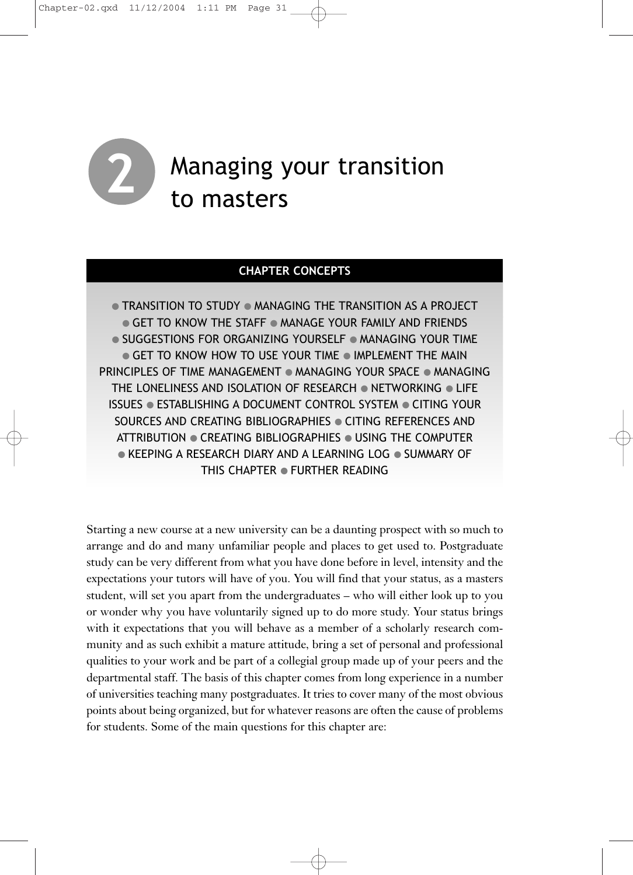# 2 Managing your transition to masters

## CHAPTER CONCEPTS

● TRANSITION TO STUDY ● MANAGING THE TRANSITION AS A PROJECT ● GET TO KNOW THE STAFF ● MANAGE YOUR FAMILY AND FRIENDS ● SUGGESTIONS FOR ORGANIZING YOURSELF ● MANAGING YOUR TIME ● GET TO KNOW HOW TO USE YOUR TIME ● IMPLEMENT THE MAIN PRINCIPLES OF TIME MANAGEMENT ● MANAGING YOUR SPACE ● MANAGING THE LONELINESS AND ISOLATION OF RESEARCH ● NETWORKING ● LIFE ISSUES ● ESTABLISHING A DOCUMENT CONTROL SYSTEM ● CITING YOUR SOURCES AND CREATING BIBLIOGRAPHIES ● CITING REFERENCES AND ATTRIBUTION ● CREATING BIBLIOGRAPHIES ● USING THE COMPUTER ● KEEPING A RESEARCH DIARY AND A LEARNING LOG ● SUMMARY OF THIS CHAPTER · FURTHER READING

Starting a new course at a new university can be a daunting prospect with so much to arrange and do and many unfamiliar people and places to get used to. Postgraduate study can be very different from what you have done before in level, intensity and the expectations your tutors will have of you. You will find that your status, as a masters student, will set you apart from the undergraduates – who will either look up to you or wonder why you have voluntarily signed up to do more study. Your status brings with it expectations that you will behave as a member of a scholarly research community and as such exhibit a mature attitude, bring a set of personal and professional qualities to your work and be part of a collegial group made up of your peers and the departmental staff. The basis of this chapter comes from long experience in a number of universities teaching many postgraduates. It tries to cover many of the most obvious points about being organized, but for whatever reasons are often the cause of problems for students. Some of the main questions for this chapter are: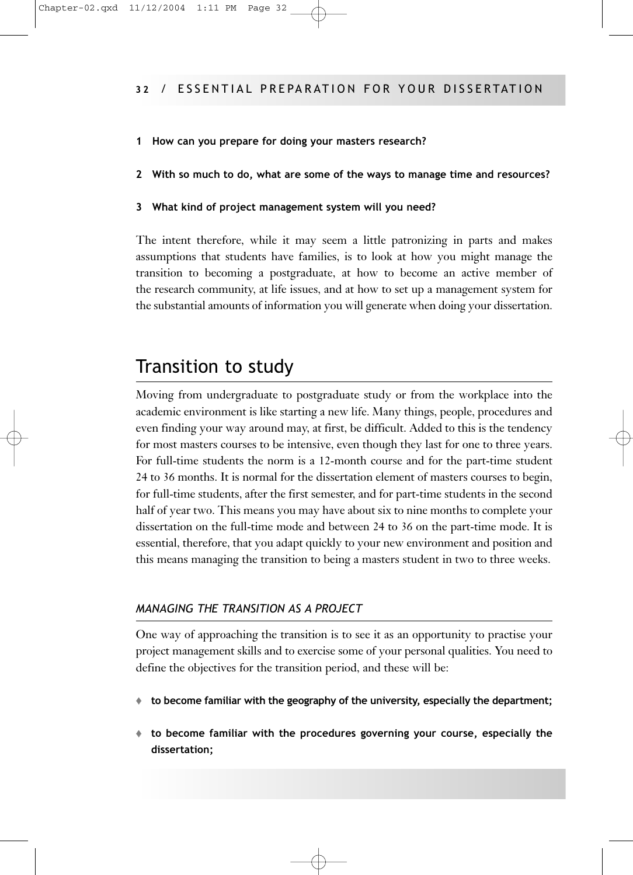#### 3 2 / ESSENTIAL PREPARATION FOR YOUR DISSERTATION

- 1 How can you prepare for doing your masters research?
- 2 With so much to do, what are some of the ways to manage time and resources?
- 3 What kind of project management system will you need?

The intent therefore, while it may seem a little patronizing in parts and makes assumptions that students have families, is to look at how you might manage the transition to becoming a postgraduate, at how to become an active member of the research community, at life issues, and at how to set up a management system for the substantial amounts of information you will generate when doing your dissertation.

## Transition to study

Moving from undergraduate to postgraduate study or from the workplace into the academic environment is like starting a new life. Many things, people, procedures and even finding your way around may, at first, be difficult. Added to this is the tendency for most masters courses to be intensive, even though they last for one to three years. For full-time students the norm is a 12-month course and for the part-time student 24 to 36 months. It is normal for the dissertation element of masters courses to begin, for full-time students, after the first semester, and for part-time students in the second half of year two. This means you may have about six to nine months to complete your dissertation on the full-time mode and between 24 to 36 on the part-time mode. It is essential, therefore, that you adapt quickly to your new environment and position and this means managing the transition to being a masters student in two to three weeks.

#### MANAGING THE TRANSITION AS A PROJECT

One way of approaching the transition is to see it as an opportunity to practise your project management skills and to exercise some of your personal qualities. You need to define the objectives for the transition period, and these will be:

- to become familiar with the geography of the university, especially the department;
- ♦ to become familiar with the procedures governing your course, especially the dissertation;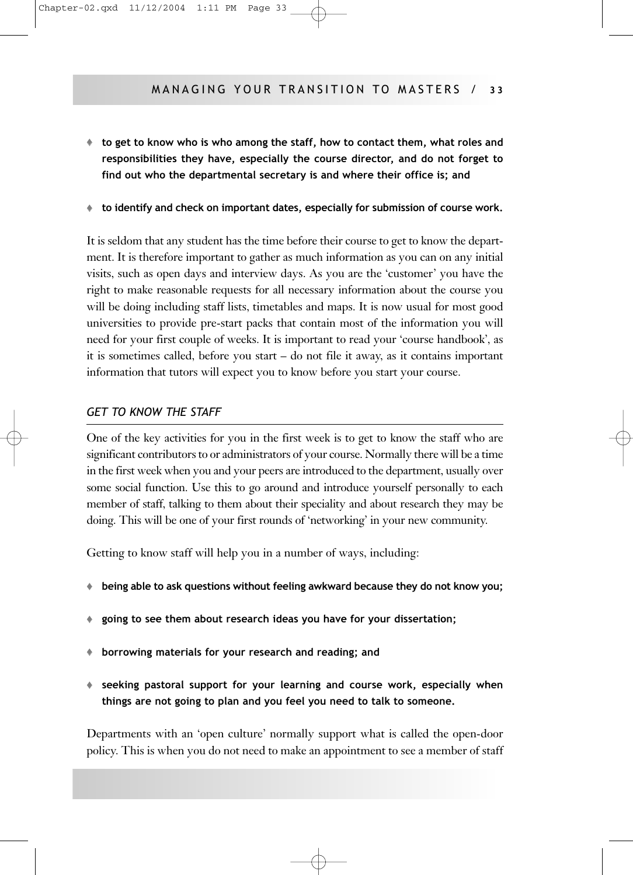#### MANAGING YOUR TRANSITION TO MASTERS / 3 3

- ♦ to get to know who is who among the staff, how to contact them, what roles and responsibilities they have, especially the course director, and do not forget to find out who the departmental secretary is and where their office is; and
- to identify and check on important dates, especially for submission of course work.

It is seldom that any student has the time before their course to get to know the department. It is therefore important to gather as much information as you can on any initial visits, such as open days and interview days. As you are the 'customer' you have the right to make reasonable requests for all necessary information about the course you will be doing including staff lists, timetables and maps. It is now usual for most good universities to provide pre-start packs that contain most of the information you will need for your first couple of weeks. It is important to read your 'course handbook', as it is sometimes called, before you start – do not file it away, as it contains important information that tutors will expect you to know before you start your course.

#### GET TO KNOW THE STAFF

One of the key activities for you in the first week is to get to know the staff who are significant contributors to or administrators of your course. Normally there will be a time in the first week when you and your peers are introduced to the department, usually over some social function. Use this to go around and introduce yourself personally to each member of staff, talking to them about their speciality and about research they may be doing. This will be one of your first rounds of 'networking' in your new community.

Getting to know staff will help you in a number of ways, including:

- ♦ being able to ask questions without feeling awkward because they do not know you;
- going to see them about research ideas you have for your dissertation;
- borrowing materials for your research and reading; and
- ♦ seeking pastoral support for your learning and course work, especially when things are not going to plan and you feel you need to talk to someone.

Departments with an 'open culture' normally support what is called the open-door policy. This is when you do not need to make an appointment to see a member of staff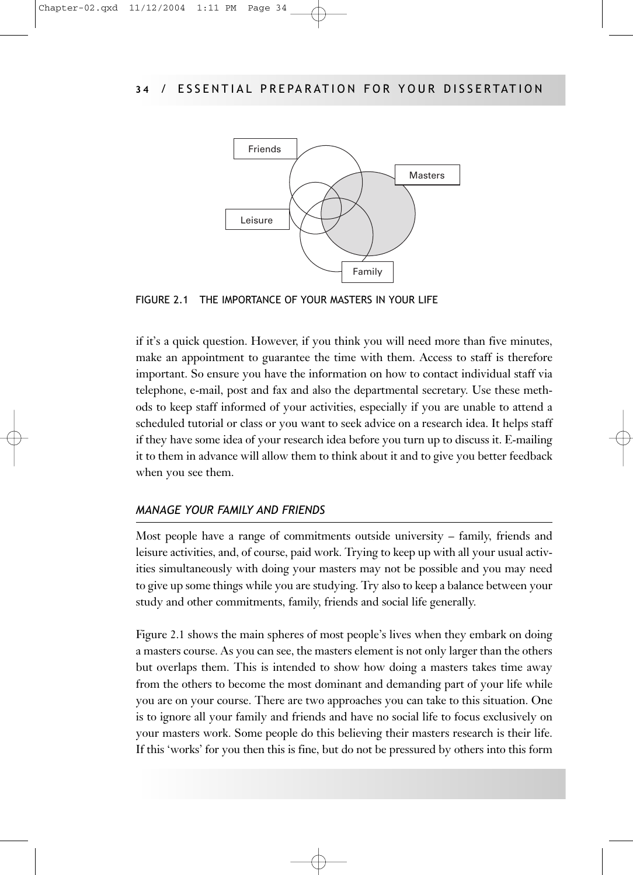#### 3 4 / ESSENTIAL PREPARATION FOR YOUR DISSERTATION



FIGURE 2.1 THE IMPORTANCE OF YOUR MASTERS IN YOUR LIFE

if it's a quick question. However, if you think you will need more than five minutes, make an appointment to guarantee the time with them. Access to staff is therefore important. So ensure you have the information on how to contact individual staff via telephone, e-mail, post and fax and also the departmental secretary. Use these methods to keep staff informed of your activities, especially if you are unable to attend a scheduled tutorial or class or you want to seek advice on a research idea. It helps staff if they have some idea of your research idea before you turn up to discuss it. E-mailing it to them in advance will allow them to think about it and to give you better feedback when you see them.

#### MANAGE YOUR FAMILY AND FRIENDS

Most people have a range of commitments outside university – family, friends and leisure activities, and, of course, paid work. Trying to keep up with all your usual activities simultaneously with doing your masters may not be possible and you may need to give up some things while you are studying. Try also to keep a balance between your study and other commitments, family, friends and social life generally.

Figure 2.1 shows the main spheres of most people's lives when they embark on doing a masters course. As you can see, the masters element is not only larger than the others but overlaps them. This is intended to show how doing a masters takes time away from the others to become the most dominant and demanding part of your life while you are on your course. There are two approaches you can take to this situation. One is to ignore all your family and friends and have no social life to focus exclusively on your masters work. Some people do this believing their masters research is their life. If this 'works' for you then this is fine, but do not be pressured by others into this form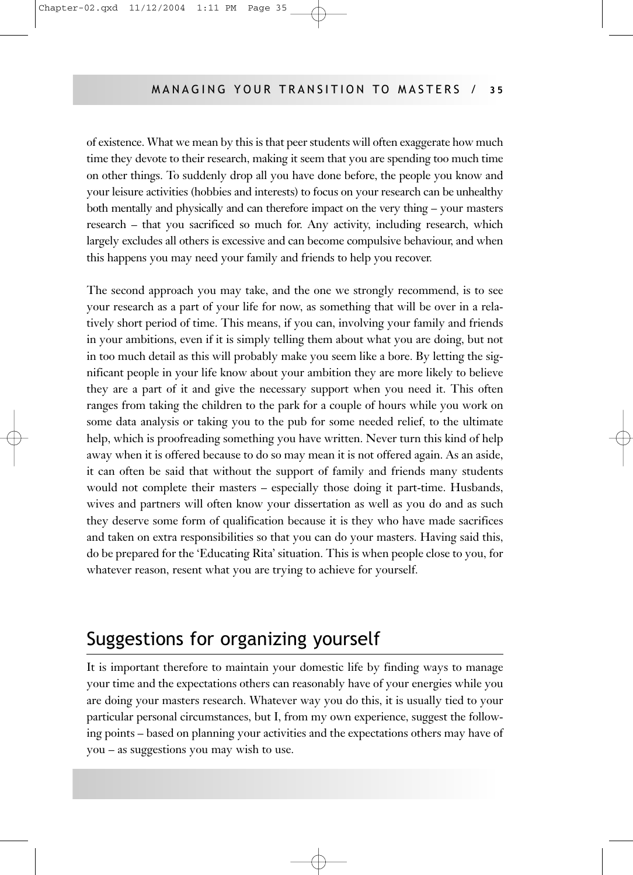### MANAGING YOUR TRANSITION TO MASTERS / 3 5

of existence. What we mean by this is that peer students will often exaggerate how much time they devote to their research, making it seem that you are spending too much time on other things. To suddenly drop all you have done before, the people you know and your leisure activities (hobbies and interests) to focus on your research can be unhealthy both mentally and physically and can therefore impact on the very thing – your masters research – that you sacrificed so much for. Any activity, including research, which largely excludes all others is excessive and can become compulsive behaviour, and when this happens you may need your family and friends to help you recover.

The second approach you may take, and the one we strongly recommend, is to see your research as a part of your life for now, as something that will be over in a relatively short period of time. This means, if you can, involving your family and friends in your ambitions, even if it is simply telling them about what you are doing, but not in too much detail as this will probably make you seem like a bore. By letting the significant people in your life know about your ambition they are more likely to believe they are a part of it and give the necessary support when you need it. This often ranges from taking the children to the park for a couple of hours while you work on some data analysis or taking you to the pub for some needed relief, to the ultimate help, which is proofreading something you have written. Never turn this kind of help away when it is offered because to do so may mean it is not offered again. As an aside, it can often be said that without the support of family and friends many students would not complete their masters – especially those doing it part-time. Husbands, wives and partners will often know your dissertation as well as you do and as such they deserve some form of qualification because it is they who have made sacrifices and taken on extra responsibilities so that you can do your masters. Having said this, do be prepared for the 'Educating Rita' situation. This is when people close to you, for whatever reason, resent what you are trying to achieve for yourself.

## Suggestions for organizing yourself

It is important therefore to maintain your domestic life by finding ways to manage your time and the expectations others can reasonably have of your energies while you are doing your masters research. Whatever way you do this, it is usually tied to your particular personal circumstances, but I, from my own experience, suggest the following points – based on planning your activities and the expectations others may have of you – as suggestions you may wish to use.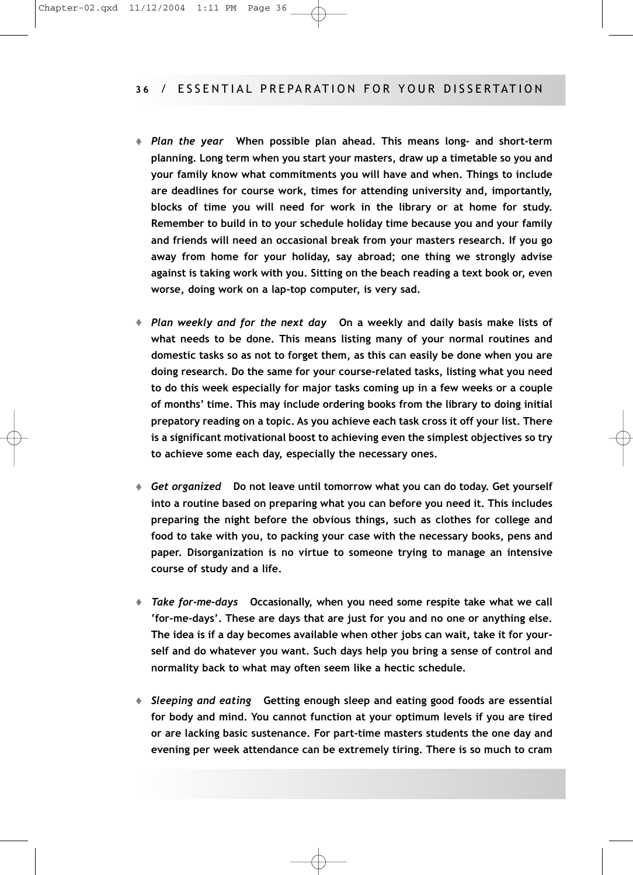#### 3 6 / ESSENTIAL PREPARATION FOR YOUR DISSERTATION

- ♦ Plan the year When possible plan ahead. This means long- and short-term planning. Long term when you start your masters, draw up a timetable so you and your family know what commitments you will have and when. Things to include are deadlines for course work, times for attending university and, importantly, blocks of time you will need for work in the library or at home for study. Remember to build in to your schedule holiday time because you and your family and friends will need an occasional break from your masters research. If you go away from home for your holiday, say abroad; one thing we strongly advise against is taking work with you. Sitting on the beach reading a text book or, even worse, doing work on a lap-top computer, is very sad.
- ♦ Plan weekly and for the next day On a weekly and daily basis make lists of what needs to be done. This means listing many of your normal routines and domestic tasks so as not to forget them, as this can easily be done when you are doing research. Do the same for your course-related tasks, listing what you need to do this week especially for major tasks coming up in a few weeks or a couple of months' time. This may include ordering books from the library to doing initial prepatory reading on a topic. As you achieve each task cross it off your list. There is a significant motivational boost to achieving even the simplest objectives so try to achieve some each day, especially the necessary ones.
- ♦ Get organized Do not leave until tomorrow what you can do today. Get yourself into a routine based on preparing what you can before you need it. This includes preparing the night before the obvious things, such as clothes for college and food to take with you, to packing your case with the necessary books, pens and paper. Disorganization is no virtue to someone trying to manage an intensive course of study and a life.
- ♦ Take for-me-days Occasionally, when you need some respite take what we call 'for-me-days'. These are days that are just for you and no one or anything else. The idea is if a day becomes available when other jobs can wait, take it for yourself and do whatever you want. Such days help you bring a sense of control and normality back to what may often seem like a hectic schedule.
- ♦ Sleeping and eating Getting enough sleep and eating good foods are essential for body and mind. You cannot function at your optimum levels if you are tired or are lacking basic sustenance. For part-time masters students the one day and evening per week attendance can be extremely tiring. There is so much to cram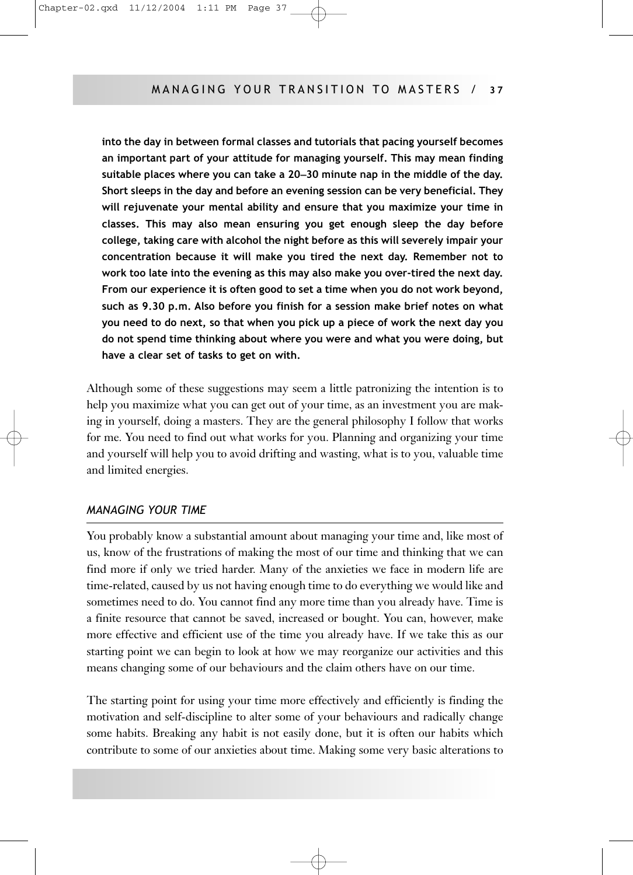### MANAGING YOUR TRANSITION TO MASTERS / 3 7

into the day in between formal classes and tutorials that pacing yourself becomes an important part of your attitude for managing yourself. This may mean finding suitable places where you can take a 20−30 minute nap in the middle of the day. Short sleeps in the day and before an evening session can be very beneficial. They will rejuvenate your mental ability and ensure that you maximize your time in classes. This may also mean ensuring you get enough sleep the day before college, taking care with alcohol the night before as this will severely impair your concentration because it will make you tired the next day. Remember not to work too late into the evening as this may also make you over-tired the next day. From our experience it is often good to set a time when you do not work beyond, such as 9.30 p.m. Also before you finish for a session make brief notes on what you need to do next, so that when you pick up a piece of work the next day you do not spend time thinking about where you were and what you were doing, but have a clear set of tasks to get on with.

Although some of these suggestions may seem a little patronizing the intention is to help you maximize what you can get out of your time, as an investment you are making in yourself, doing a masters. They are the general philosophy I follow that works for me. You need to find out what works for you. Planning and organizing your time and yourself will help you to avoid drifting and wasting, what is to you, valuable time and limited energies.

#### MANAGING YOUR TIME

You probably know a substantial amount about managing your time and, like most of us, know of the frustrations of making the most of our time and thinking that we can find more if only we tried harder. Many of the anxieties we face in modern life are time-related, caused by us not having enough time to do everything we would like and sometimes need to do. You cannot find any more time than you already have. Time is a finite resource that cannot be saved, increased or bought. You can, however, make more effective and efficient use of the time you already have. If we take this as our starting point we can begin to look at how we may reorganize our activities and this means changing some of our behaviours and the claim others have on our time.

The starting point for using your time more effectively and efficiently is finding the motivation and self-discipline to alter some of your behaviours and radically change some habits. Breaking any habit is not easily done, but it is often our habits which contribute to some of our anxieties about time. Making some very basic alterations to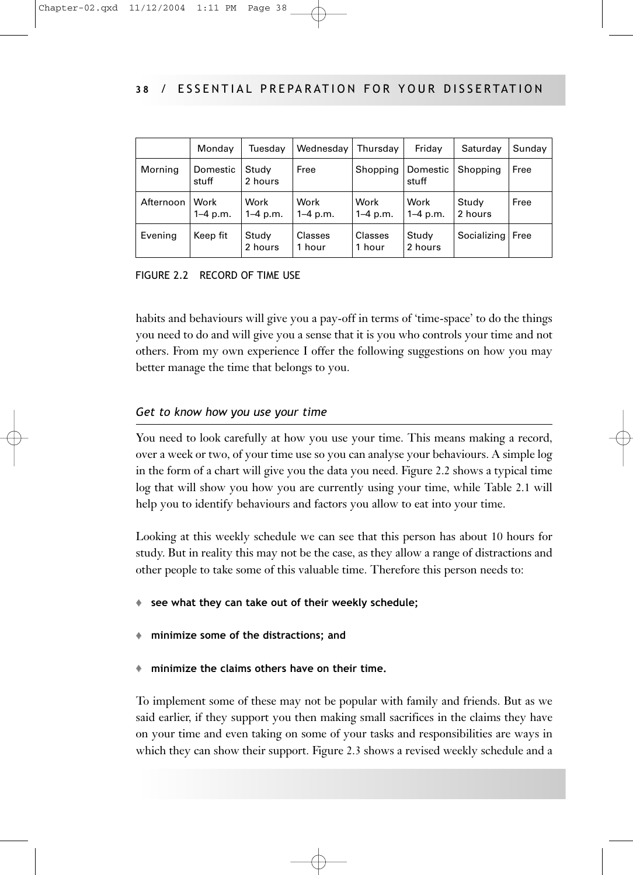#### 3 8 / ESSENTIAL PREPARATION FOR YOUR DISSERTATION

|           | Monday             | Tuesdav            | Wednesday   Thursday |                    | Fridav             | Saturday         | Sundav |
|-----------|--------------------|--------------------|----------------------|--------------------|--------------------|------------------|--------|
| Morning   | Domestic<br>stuff  | Study<br>2 hours   | Free                 | Shopping           | Domestic<br>stuff  | Shopping         | Free   |
| Afternoon | Work<br>$1-4$ p.m. | Work<br>$1-4$ p.m. | Work<br>$1-4$ p.m.   | Work<br>$1-4$ p.m. | Work<br>$1-4$ p.m. | Study<br>2 hours | Free   |
| Evening   | Keep fit           | Study<br>2 hours   | Classes<br>1 hour    | Classes<br>1 hour  | Study<br>2 hours   | Socializing      | Free   |

FIGURE 2.2 RECORD OF TIME USE

habits and behaviours will give you a pay-off in terms of 'time-space' to do the things you need to do and will give you a sense that it is you who controls your time and not others. From my own experience I offer the following suggestions on how you may better manage the time that belongs to you.

#### Get to know how you use your time

You need to look carefully at how you use your time. This means making a record, over a week or two, of your time use so you can analyse your behaviours. A simple log in the form of a chart will give you the data you need. Figure 2.2 shows a typical time log that will show you how you are currently using your time, while Table 2.1 will help you to identify behaviours and factors you allow to eat into your time.

Looking at this weekly schedule we can see that this person has about 10 hours for study. But in reality this may not be the case, as they allow a range of distractions and other people to take some of this valuable time. Therefore this person needs to:

see what they can take out of their weekly schedule;

- minimize some of the distractions; and
- minimize the claims others have on their time.

To implement some of these may not be popular with family and friends. But as we said earlier, if they support you then making small sacrifices in the claims they have on your time and even taking on some of your tasks and responsibilities are ways in which they can show their support. Figure 2.3 shows a revised weekly schedule and a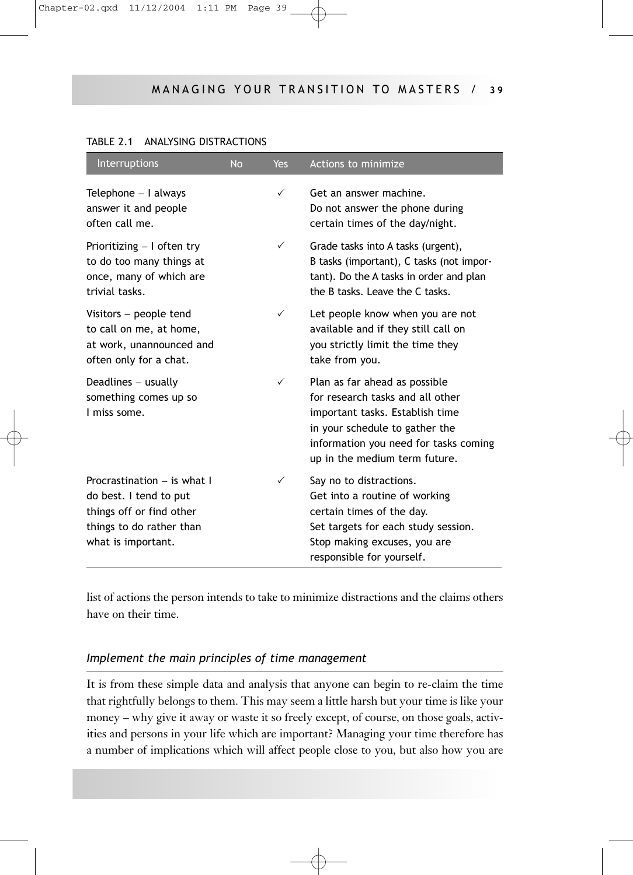#### MANAGING YOUR TRANSITION TO MASTERS / 3 9

#### TABLE 2.1 ANALYSING DISTRACTIONS

| Interruptions                                                                                                                       | <b>No</b> | <b>Yes</b>   | Actions to minimize                                                                                                                                                                                              |
|-------------------------------------------------------------------------------------------------------------------------------------|-----------|--------------|------------------------------------------------------------------------------------------------------------------------------------------------------------------------------------------------------------------|
| Telephone - I always<br>answer it and people<br>often call me.                                                                      |           | $\checkmark$ | Get an answer machine.<br>Do not answer the phone during<br>certain times of the day/night.                                                                                                                      |
| Prioritizing $-1$ often try<br>to do too many things at<br>once, many of which are<br>trivial tasks.                                |           | $\checkmark$ | Grade tasks into A tasks (urgent),<br>B tasks (important), C tasks (not impor-<br>tant). Do the A tasks in order and plan<br>the B tasks. Leave the C tasks.                                                     |
| Visitors – people tend<br>to call on me, at home,<br>at work, unannounced and<br>often only for a chat.                             |           | $\checkmark$ | Let people know when you are not<br>available and if they still call on<br>you strictly limit the time they<br>take from you.                                                                                    |
| Deadlines - usually<br>something comes up so<br>I miss some.                                                                        |           | ✓            | Plan as far ahead as possible<br>for research tasks and all other<br>important tasks. Establish time<br>in your schedule to gather the<br>information you need for tasks coming<br>up in the medium term future. |
| Procrastination – is what I<br>do best. I tend to put<br>things off or find other<br>things to do rather than<br>what is important. |           | ✓            | Say no to distractions.<br>Get into a routine of working<br>certain times of the day.<br>Set targets for each study session.<br>Stop making excuses, you are<br>responsible for yourself.                        |

list of actions the person intends to take to minimize distractions and the claims others have on their time.

#### Implement the main principles of time management

It is from these simple data and analysis that anyone can begin to re-claim the time that rightfully belongs to them. This may seem a little harsh but your time is like your money – why give it away or waste it so freely except, of course, on those goals, activities and persons in your life which are important? Managing your time therefore has a number of implications which will affect people close to you, but also how you are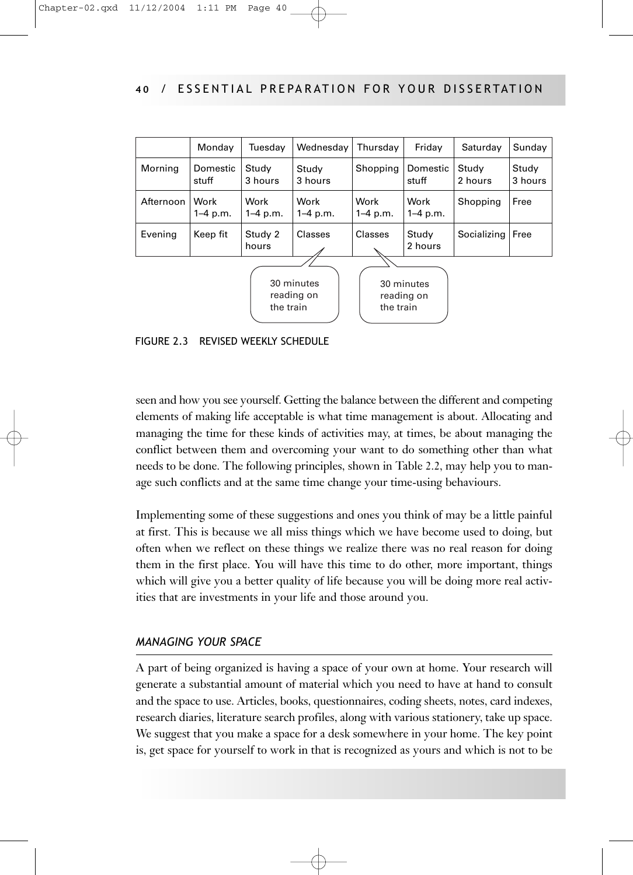#### 4 0 / ESSENTIAL PREPARATION FOR YOUR DISSERTATION

|           | Monday             | Tuesdav            | Wednesdav                | Thursdav           | Fridav                   | Saturday         | Sunday           |
|-----------|--------------------|--------------------|--------------------------|--------------------|--------------------------|------------------|------------------|
| Morning   | Domestic<br>stuff  | Study<br>3 hours   | Study<br>3 hours         | Shopping           | Domestic<br>stuff        | Study<br>2 hours | Study<br>3 hours |
| Afternoon | Work<br>$1-4$ p.m. | Work<br>$1-4$ p.m. | Work<br>$1-4$ p.m.       | Work<br>$1-4$ p.m. | Work<br>$1-4$ p.m.       | Shopping         | Free             |
| Evening   | Keep fit           | Study 2<br>hours   | Classes                  | Classes            | Study<br>2 hours         | Socializing      | Free             |
|           |                    | the train          | 30 minutes<br>reading on | the train          | 30 minutes<br>reading on |                  |                  |

FIGURE 2.3 REVISED WEEKLY SCHEDULE

seen and how you see yourself. Getting the balance between the different and competing elements of making life acceptable is what time management is about. Allocating and managing the time for these kinds of activities may, at times, be about managing the conflict between them and overcoming your want to do something other than what needs to be done. The following principles, shown in Table 2.2, may help you to manage such conflicts and at the same time change your time-using behaviours.

Implementing some of these suggestions and ones you think of may be a little painful at first. This is because we all miss things which we have become used to doing, but often when we reflect on these things we realize there was no real reason for doing them in the first place. You will have this time to do other, more important, things which will give you a better quality of life because you will be doing more real activities that are investments in your life and those around you.

#### MANAGING YOUR SPACE

A part of being organized is having a space of your own at home. Your research will generate a substantial amount of material which you need to have at hand to consult and the space to use. Articles, books, questionnaires, coding sheets, notes, card indexes, research diaries, literature search profiles, along with various stationery, take up space. We suggest that you make a space for a desk somewhere in your home. The key point is, get space for yourself to work in that is recognized as yours and which is not to be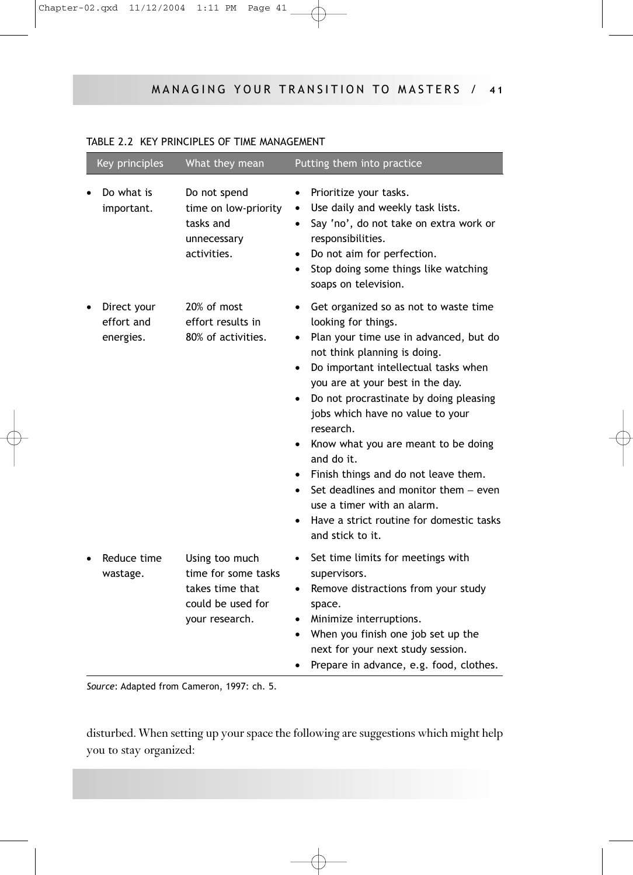## MANAGING YOUR TRANSITION TO MASTERS / 4 1

#### TABLE 2.2 KEY PRINCIPLES OF TIME MANAGEMENT

| Key principles                         | What they mean                                                                                  | Putting them into practice                                                                                                                                                                                                                                                                                                                                                                                                                                                                                                                                                                                                                   |  |  |  |
|----------------------------------------|-------------------------------------------------------------------------------------------------|----------------------------------------------------------------------------------------------------------------------------------------------------------------------------------------------------------------------------------------------------------------------------------------------------------------------------------------------------------------------------------------------------------------------------------------------------------------------------------------------------------------------------------------------------------------------------------------------------------------------------------------------|--|--|--|
| Do what is<br>important.               | Do not spend<br>time on low-priority<br>tasks and<br>unnecessary<br>activities.                 | Prioritize your tasks.<br>$\bullet$<br>Use daily and weekly task lists.<br>$\bullet$<br>Say 'no', do not take on extra work or<br>$\bullet$<br>responsibilities.<br>Do not aim for perfection.<br>$\bullet$<br>Stop doing some things like watching<br>$\bullet$<br>soaps on television.                                                                                                                                                                                                                                                                                                                                                     |  |  |  |
| Direct your<br>effort and<br>energies. | 20% of most<br>effort results in<br>80% of activities.                                          | Get organized so as not to waste time<br>$\bullet$<br>looking for things.<br>Plan your time use in advanced, but do<br>$\bullet$<br>not think planning is doing.<br>Do important intellectual tasks when<br>$\bullet$<br>you are at your best in the day.<br>Do not procrastinate by doing pleasing<br>$\bullet$<br>jobs which have no value to your<br>research.<br>Know what you are meant to be doing<br>$\bullet$<br>and do it.<br>Finish things and do not leave them.<br>Set deadlines and monitor them – even<br>$\bullet$<br>use a timer with an alarm.<br>Have a strict routine for domestic tasks<br>$\bullet$<br>and stick to it. |  |  |  |
| Reduce time<br>wastage.                | Using too much<br>time for some tasks<br>takes time that<br>could be used for<br>your research. | Set time limits for meetings with<br>٠<br>supervisors.<br>Remove distractions from your study<br>$\bullet$<br>space.<br>Minimize interruptions.<br>When you finish one job set up the<br>$\bullet$<br>next for your next study session.<br>Prepare in advance, e.g. food, clothes.                                                                                                                                                                                                                                                                                                                                                           |  |  |  |

Source: Adapted from Cameron, 1997: ch. 5.

disturbed. When setting up your space the following are suggestions which might help you to stay organized: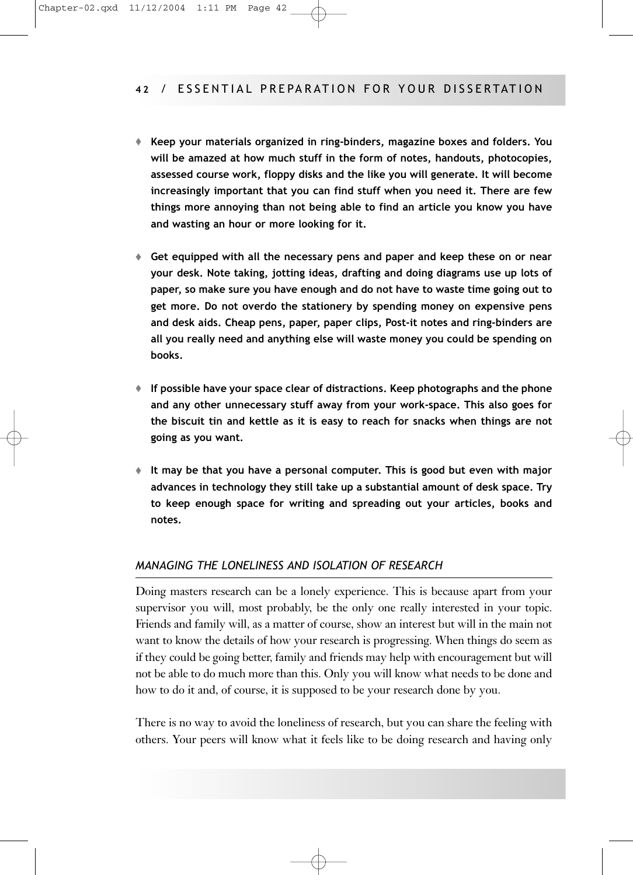#### 4 2 / ESSENTIAL PREPARATION FOR YOUR DISSERTATION

- ♦ Keep your materials organized in ring-binders, magazine boxes and folders. You will be amazed at how much stuff in the form of notes, handouts, photocopies, assessed course work, floppy disks and the like you will generate. It will become increasingly important that you can find stuff when you need it. There are few things more annoying than not being able to find an article you know you have and wasting an hour or more looking for it.
- ♦ Get equipped with all the necessary pens and paper and keep these on or near your desk. Note taking, jotting ideas, drafting and doing diagrams use up lots of paper, so make sure you have enough and do not have to waste time going out to get more. Do not overdo the stationery by spending money on expensive pens and desk aids. Cheap pens, paper, paper clips, Post-it notes and ring-binders are all you really need and anything else will waste money you could be spending on books.
- ♦ If possible have your space clear of distractions. Keep photographs and the phone and any other unnecessary stuff away from your work-space. This also goes for the biscuit tin and kettle as it is easy to reach for snacks when things are not going as you want.
- ♦ It may be that you have a personal computer. This is good but even with major advances in technology they still take up a substantial amount of desk space. Try to keep enough space for writing and spreading out your articles, books and notes.

#### MANAGING THE LONELINESS AND ISOLATION OF RESEARCH

Doing masters research can be a lonely experience. This is because apart from your supervisor you will, most probably, be the only one really interested in your topic. Friends and family will, as a matter of course, show an interest but will in the main not want to know the details of how your research is progressing. When things do seem as if they could be going better, family and friends may help with encouragement but will not be able to do much more than this. Only you will know what needs to be done and how to do it and, of course, it is supposed to be your research done by you.

There is no way to avoid the loneliness of research, but you can share the feeling with others. Your peers will know what it feels like to be doing research and having only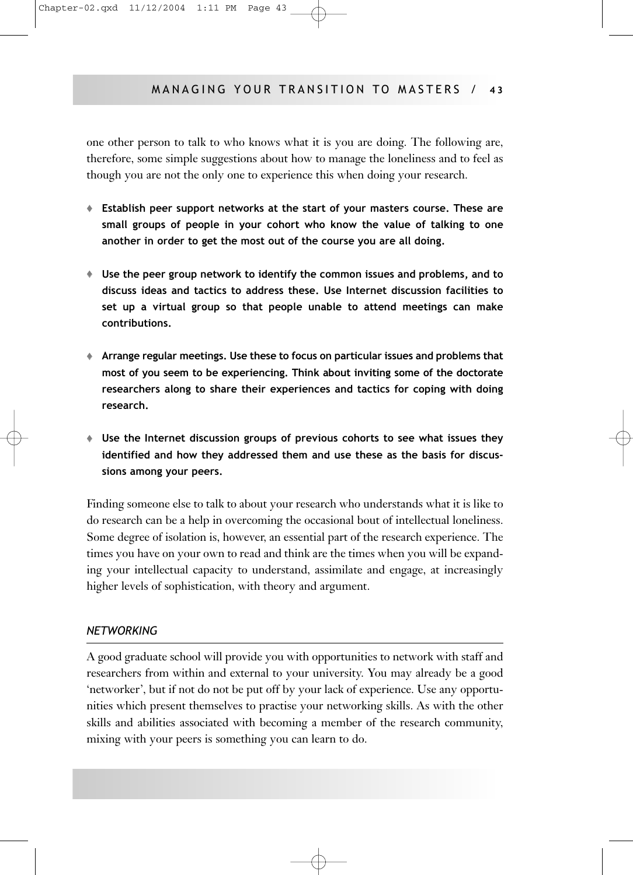MANAGING YOUR TRANSITION TO MASTERS / 4 3

one other person to talk to who knows what it is you are doing. The following are, therefore, some simple suggestions about how to manage the loneliness and to feel as though you are not the only one to experience this when doing your research.

- ♦ Establish peer support networks at the start of your masters course. These are small groups of people in your cohort who know the value of talking to one another in order to get the most out of the course you are all doing.
- ♦ Use the peer group network to identify the common issues and problems, and to discuss ideas and tactics to address these. Use Internet discussion facilities to set up a virtual group so that people unable to attend meetings can make contributions.
- ♦ Arrange regular meetings. Use these to focus on particular issues and problems that most of you seem to be experiencing. Think about inviting some of the doctorate researchers along to share their experiences and tactics for coping with doing research.
- Use the Internet discussion groups of previous cohorts to see what issues they identified and how they addressed them and use these as the basis for discussions among your peers.

Finding someone else to talk to about your research who understands what it is like to do research can be a help in overcoming the occasional bout of intellectual loneliness. Some degree of isolation is, however, an essential part of the research experience. The times you have on your own to read and think are the times when you will be expanding your intellectual capacity to understand, assimilate and engage, at increasingly higher levels of sophistication, with theory and argument.

#### **NETWORKING**

A good graduate school will provide you with opportunities to network with staff and researchers from within and external to your university. You may already be a good 'networker', but if not do not be put off by your lack of experience. Use any opportunities which present themselves to practise your networking skills. As with the other skills and abilities associated with becoming a member of the research community, mixing with your peers is something you can learn to do.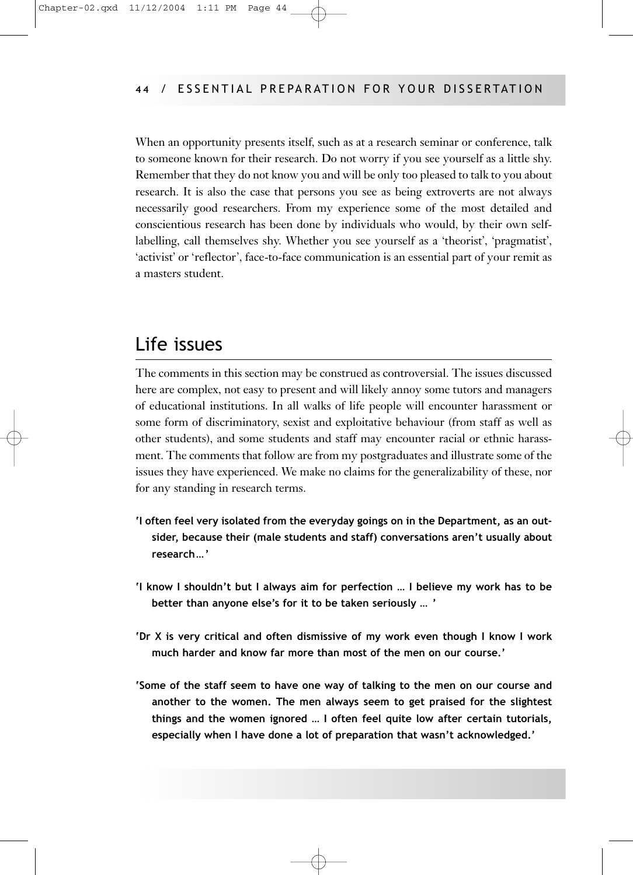#### 4 4 / ESSENTIAL PREPARATION FOR YOUR DISSERTATION

When an opportunity presents itself, such as at a research seminar or conference, talk to someone known for their research. Do not worry if you see yourself as a little shy. Remember that they do not know you and will be only too pleased to talk to you about research. It is also the case that persons you see as being extroverts are not always necessarily good researchers. From my experience some of the most detailed and conscientious research has been done by individuals who would, by their own selflabelling, call themselves shy. Whether you see yourself as a 'theorist', 'pragmatist', 'activist' or 'reflector', face-to-face communication is an essential part of your remit as a masters student.

## Life issues

The comments in this section may be construed as controversial. The issues discussed here are complex, not easy to present and will likely annoy some tutors and managers of educational institutions. In all walks of life people will encounter harassment or some form of discriminatory, sexist and exploitative behaviour (from staff as well as other students), and some students and staff may encounter racial or ethnic harassment. The comments that follow are from my postgraduates and illustrate some of the issues they have experienced. We make no claims for the generalizability of these, nor for any standing in research terms.

- 'I often feel very isolated from the everyday goings on in the Department, as an outsider, because their (male students and staff) conversations aren't usually about research…'
- 'I know I shouldn't but I always aim for perfection … I believe my work has to be better than anyone else's for it to be taken seriously … '
- 'Dr X is very critical and often dismissive of my work even though I know I work much harder and know far more than most of the men on our course.'
- 'Some of the staff seem to have one way of talking to the men on our course and another to the women. The men always seem to get praised for the slightest things and the women ignored … I often feel quite low after certain tutorials, especially when I have done a lot of preparation that wasn't acknowledged.'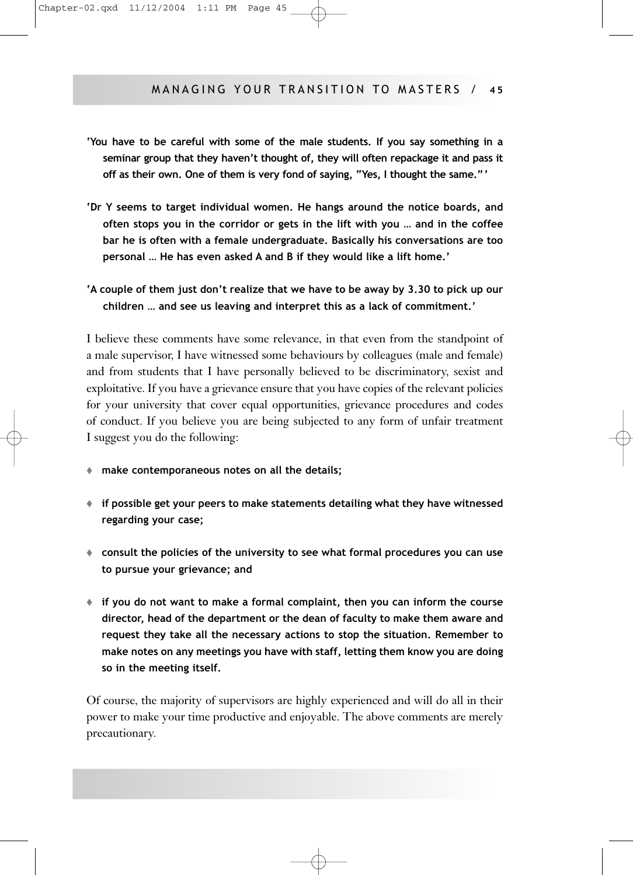MANAGING YOUR TRANSITION TO MASTERS / 4 5

- 'You have to be careful with some of the male students. If you say something in a seminar group that they haven't thought of, they will often repackage it and pass it off as their own. One of them is very fond of saying, "Yes, I thought the same."'
- 'Dr Y seems to target individual women. He hangs around the notice boards, and often stops you in the corridor or gets in the lift with you … and in the coffee bar he is often with a female undergraduate. Basically his conversations are too personal … He has even asked A and B if they would like a lift home.'
- 'A couple of them just don't realize that we have to be away by 3.30 to pick up our children … and see us leaving and interpret this as a lack of commitment.'

I believe these comments have some relevance, in that even from the standpoint of a male supervisor, I have witnessed some behaviours by colleagues (male and female) and from students that I have personally believed to be discriminatory, sexist and exploitative. If you have a grievance ensure that you have copies of the relevant policies for your university that cover equal opportunities, grievance procedures and codes of conduct. If you believe you are being subjected to any form of unfair treatment I suggest you do the following:

- ♦ make contemporaneous notes on all the details;
- ♦ if possible get your peers to make statements detailing what they have witnessed regarding your case;
- ♦ consult the policies of the university to see what formal procedures you can use to pursue your grievance; and
- ♦ if you do not want to make a formal complaint, then you can inform the course director, head of the department or the dean of faculty to make them aware and request they take all the necessary actions to stop the situation. Remember to make notes on any meetings you have with staff, letting them know you are doing so in the meeting itself.

Of course, the majority of supervisors are highly experienced and will do all in their power to make your time productive and enjoyable. The above comments are merely precautionary.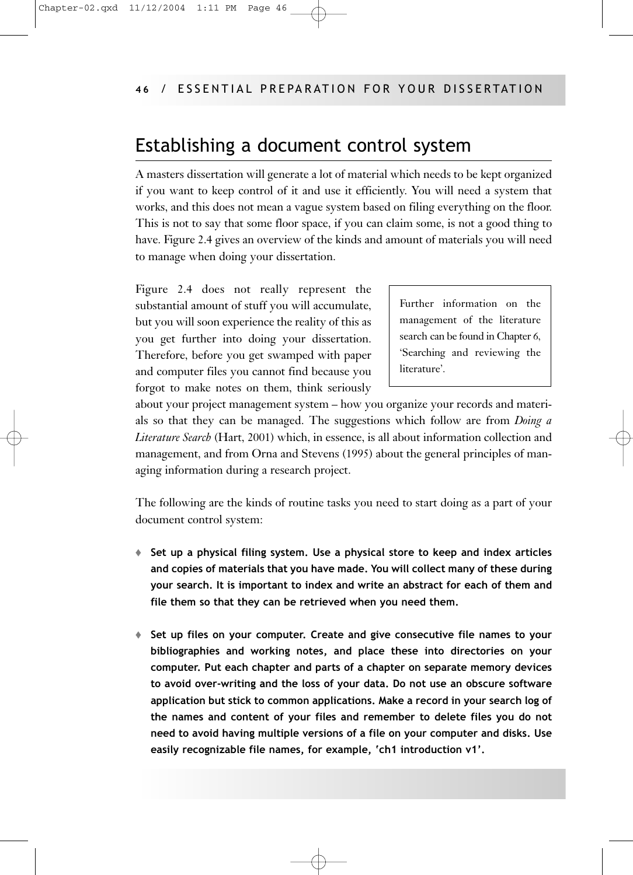#### 4 6 / ESSENTIAL PREPARATION FOR YOUR DISSERTATION

## Establishing a document control system

A masters dissertation will generate a lot of material which needs to be kept organized if you want to keep control of it and use it efficiently. You will need a system that works, and this does not mean a vague system based on filing everything on the floor. This is not to say that some floor space, if you can claim some, is not a good thing to have. Figure 2.4 gives an overview of the kinds and amount of materials you will need to manage when doing your dissertation.

Figure 2.4 does not really represent the substantial amount of stuff you will accumulate, but you will soon experience the reality of this as you get further into doing your dissertation. Therefore, before you get swamped with paper and computer files you cannot find because you forgot to make notes on them, think seriously

Further information on the management of the literature search can be found in Chapter 6, 'Searching and reviewing the literature'.

about your project management system – how you organize your records and materials so that they can be managed. The suggestions which follow are from *Doing a Literature Search* (Hart, 2001) which, in essence, is all about information collection and management, and from Orna and Stevens (1995) about the general principles of managing information during a research project.

The following are the kinds of routine tasks you need to start doing as a part of your document control system:

- ♦ Set up a physical filing system. Use a physical store to keep and index articles and copies of materials that you have made. You will collect many of these during your search. It is important to index and write an abstract for each of them and file them so that they can be retrieved when you need them.
- ♦ Set up files on your computer. Create and give consecutive file names to your bibliographies and working notes, and place these into directories on your computer. Put each chapter and parts of a chapter on separate memory devices to avoid over-writing and the loss of your data. Do not use an obscure software application but stick to common applications. Make a record in your search log of the names and content of your files and remember to delete files you do not need to avoid having multiple versions of a file on your computer and disks. Use easily recognizable file names, for example, 'ch1 introduction v1'.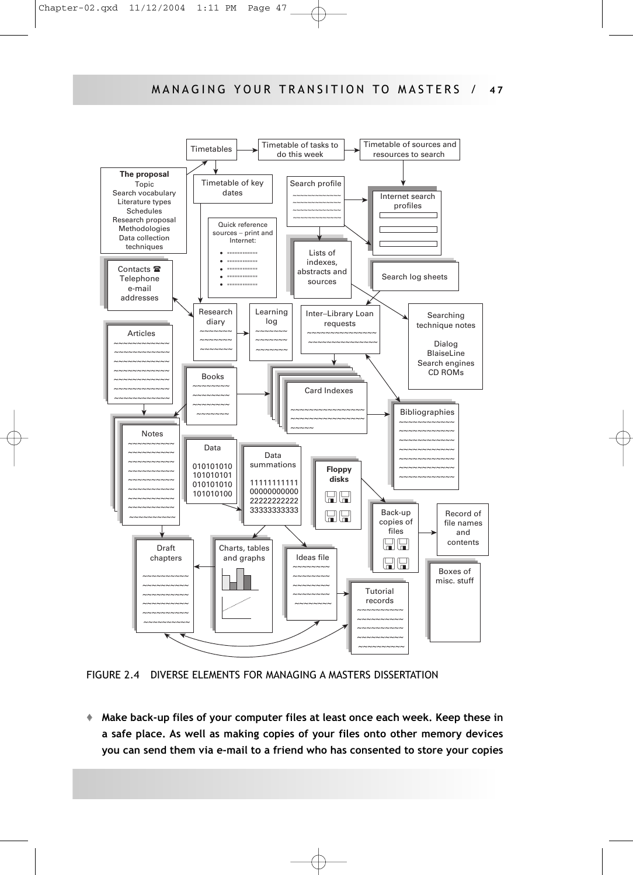MANAGING YOUR TRANSITION TO MASTERS / 47



FIGURE 2.4 DIVERSE ELEMENTS FOR MANAGING A MASTERS DISSERTATION

♦ Make back-up files of your computer files at least once each week. Keep these in a safe place. As well as making copies of your files onto other memory devices you can send them via e-mail to a friend who has consented to store your copies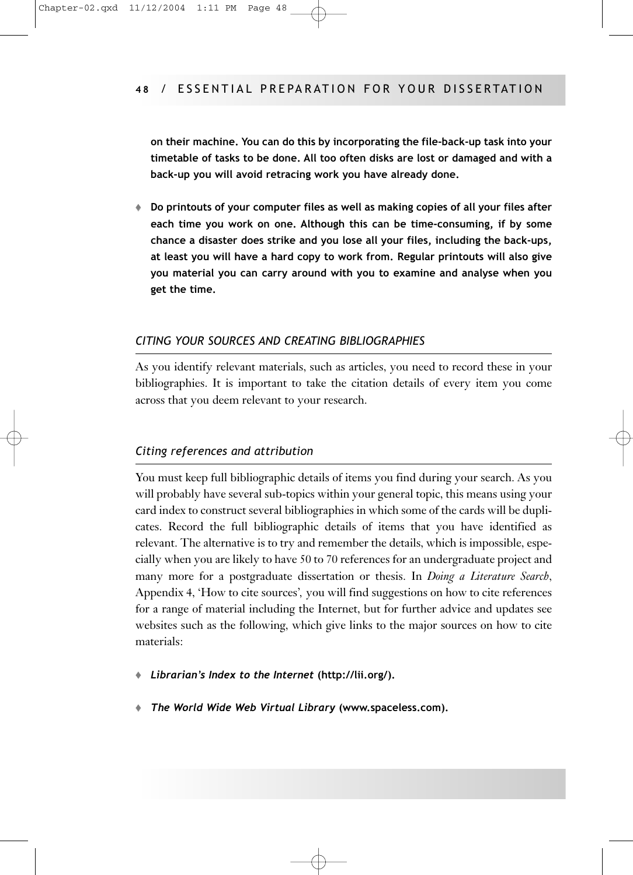#### 4 8 / ESSENTIAL PREPARATION FOR YOUR DISSERTATION

on their machine. You can do this by incorporating the file-back-up task into your timetable of tasks to be done. All too often disks are lost or damaged and with a back-up you will avoid retracing work you have already done.

Do printouts of your computer files as well as making copies of all your files after each time you work on one. Although this can be time-consuming, if by some chance a disaster does strike and you lose all your files, including the back-ups, at least you will have a hard copy to work from. Regular printouts will also give you material you can carry around with you to examine and analyse when you get the time.

#### CITING YOUR SOURCES AND CREATING BIBLIOGRAPHIES

As you identify relevant materials, such as articles, you need to record these in your bibliographies. It is important to take the citation details of every item you come across that you deem relevant to your research.

#### Citing references and attribution

You must keep full bibliographic details of items you find during your search. As you will probably have several sub-topics within your general topic, this means using your card index to construct several bibliographies in which some of the cards will be duplicates. Record the full bibliographic details of items that you have identified as relevant. The alternative is to try and remember the details, which is impossible, especially when you are likely to have 50 to 70 references for an undergraduate project and many more for a postgraduate dissertation or thesis. In *Doing a Literature Search*, Appendix 4, 'How to cite sources'*,* you will find suggestions on how to cite references for a range of material including the Internet, but for further advice and updates see websites such as the following, which give links to the major sources on how to cite materials:

- ♦ Librarian's Index to the Internet (http://lii.org/).
- ♦ The World Wide Web Virtual Library (www.spaceless.com).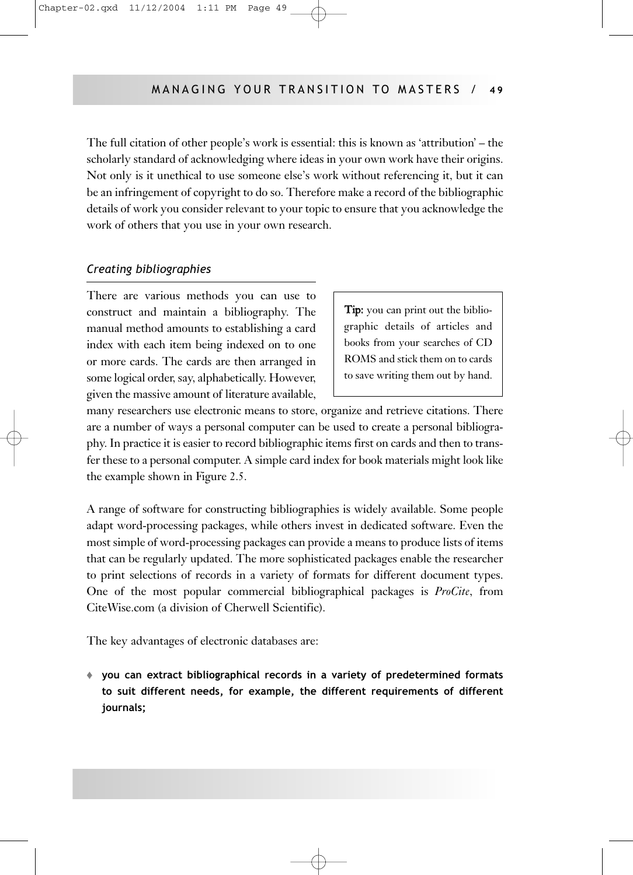#### MANAGING YOUR TRANSITION TO MASTERS / 4 9

The full citation of other people's work is essential: this is known as 'attribution' – the scholarly standard of acknowledging where ideas in your own work have their origins. Not only is it unethical to use someone else's work without referencing it, but it can be an infringement of copyright to do so. Therefore make a record of the bibliographic details of work you consider relevant to your topic to ensure that you acknowledge the work of others that you use in your own research.

#### Creating bibliographies

There are various methods you can use to construct and maintain a bibliography. The manual method amounts to establishing a card index with each item being indexed on to one or more cards. The cards are then arranged in some logical order, say, alphabetically. However, given the massive amount of literature available,

Tip: you can print out the bibliographic details of articles and books from your searches of CD ROMS and stick them on to cards to save writing them out by hand.

many researchers use electronic means to store, organize and retrieve citations. There are a number of ways a personal computer can be used to create a personal bibliography. In practice it is easier to record bibliographic items first on cards and then to transfer these to a personal computer. A simple card index for book materials might look like the example shown in Figure 2.5.

A range of software for constructing bibliographies is widely available. Some people adapt word-processing packages, while others invest in dedicated software. Even the most simple of word-processing packages can provide a means to produce lists of items that can be regularly updated. The more sophisticated packages enable the researcher to print selections of records in a variety of formats for different document types. One of the most popular commercial bibliographical packages is *ProCite*, from CiteWise.com (a division of Cherwell Scientific).

The key advantages of electronic databases are:

♦ you can extract bibliographical records in a variety of predetermined formats to suit different needs, for example, the different requirements of different journals;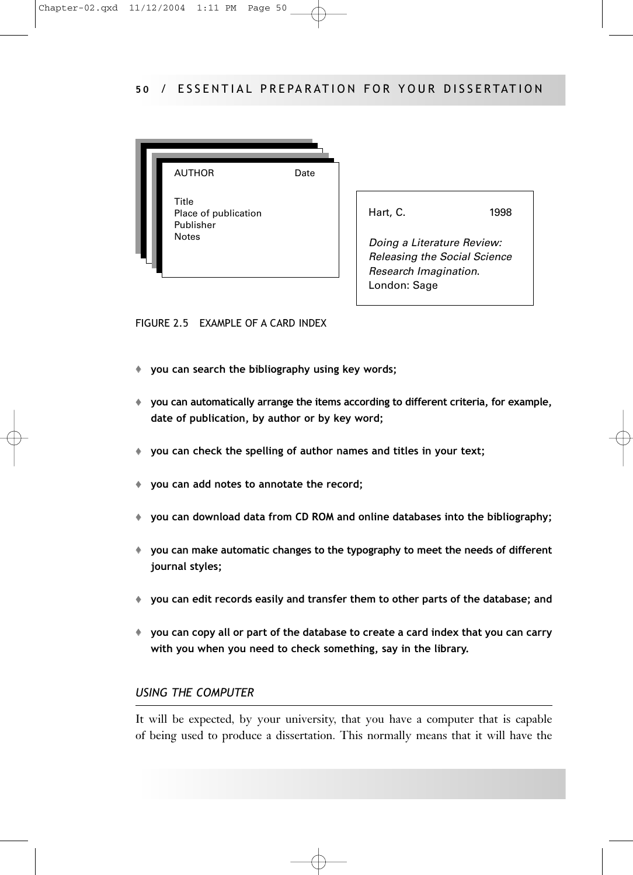#### 5 0 / ESSENTIAL PREPARATION FOR YOUR DISSERTATION



| Hart, C. | 1998 |
|----------|------|
|----------|------|

Doing a Literature Review: Releasing the Social Science Research Imagination. London: Sage

FIGURE 2.5 EXAMPLE OF A CARD INDEX

- ♦ you can search the bibliography using key words;
- ♦ you can automatically arrange the items according to different criteria, for example, date of publication, by author or by key word;
- you can check the spelling of author names and titles in your text;
- ♦ you can add notes to annotate the record;
- ♦ you can download data from CD ROM and online databases into the bibliography;
- ♦ you can make automatic changes to the typography to meet the needs of different journal styles;
- ♦ you can edit records easily and transfer them to other parts of the database; and
- ♦ you can copy all or part of the database to create a card index that you can carry with you when you need to check something, say in the library.

#### USING THE COMPUTER

It will be expected, by your university, that you have a computer that is capable of being used to produce a dissertation. This normally means that it will have the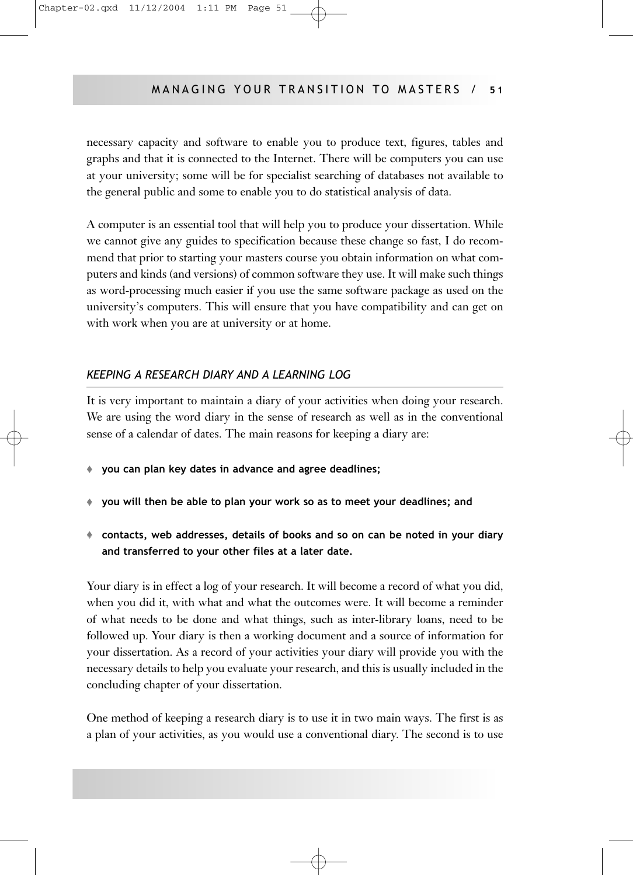## MANAGING YOUR TRANSITION TO MASTERS / 5 1

necessary capacity and software to enable you to produce text, figures, tables and graphs and that it is connected to the Internet. There will be computers you can use at your university; some will be for specialist searching of databases not available to the general public and some to enable you to do statistical analysis of data.

A computer is an essential tool that will help you to produce your dissertation. While we cannot give any guides to specification because these change so fast, I do recommend that prior to starting your masters course you obtain information on what computers and kinds (and versions) of common software they use. It will make such things as word-processing much easier if you use the same software package as used on the university's computers. This will ensure that you have compatibility and can get on with work when you are at university or at home.

## KEEPING A RESEARCH DIARY AND A LEARNING LOG

It is very important to maintain a diary of your activities when doing your research. We are using the word diary in the sense of research as well as in the conventional sense of a calendar of dates. The main reasons for keeping a diary are:

- you can plan key dates in advance and agree deadlines;
- ♦ you will then be able to plan your work so as to meet your deadlines; and
- ♦ contacts, web addresses, details of books and so on can be noted in your diary and transferred to your other files at a later date.

Your diary is in effect a log of your research. It will become a record of what you did, when you did it, with what and what the outcomes were. It will become a reminder of what needs to be done and what things, such as inter-library loans, need to be followed up. Your diary is then a working document and a source of information for your dissertation. As a record of your activities your diary will provide you with the necessary details to help you evaluate your research, and this is usually included in the concluding chapter of your dissertation.

One method of keeping a research diary is to use it in two main ways. The first is as a plan of your activities, as you would use a conventional diary. The second is to use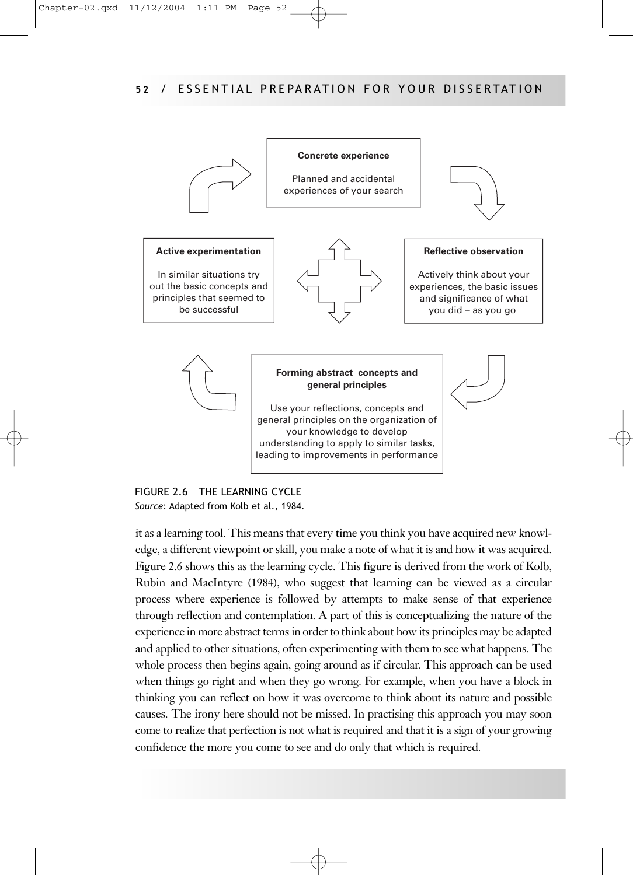#### 5 2 / ESSENTIAL PREPARATION FOR YOUR DISSERTATION



FIGURE 2.6 THE LEARNING CYCLE Source: Adapted from Kolb et al., 1984.

it as a learning tool. This means that every time you think you have acquired new knowledge, a different viewpoint or skill, you make a note of what it is and how it was acquired. Figure 2.6 shows this as the learning cycle. This figure is derived from the work of Kolb, Rubin and MacIntyre (1984), who suggest that learning can be viewed as a circular process where experience is followed by attempts to make sense of that experience through reflection and contemplation. A part of this is conceptualizing the nature of the experience in more abstract terms in order to think about how its principles may be adapted and applied to other situations, often experimenting with them to see what happens. The whole process then begins again, going around as if circular. This approach can be used when things go right and when they go wrong. For example, when you have a block in thinking you can reflect on how it was overcome to think about its nature and possible causes. The irony here should not be missed. In practising this approach you may soon come to realize that perfection is not what is required and that it is a sign of your growing confidence the more you come to see and do only that which is required.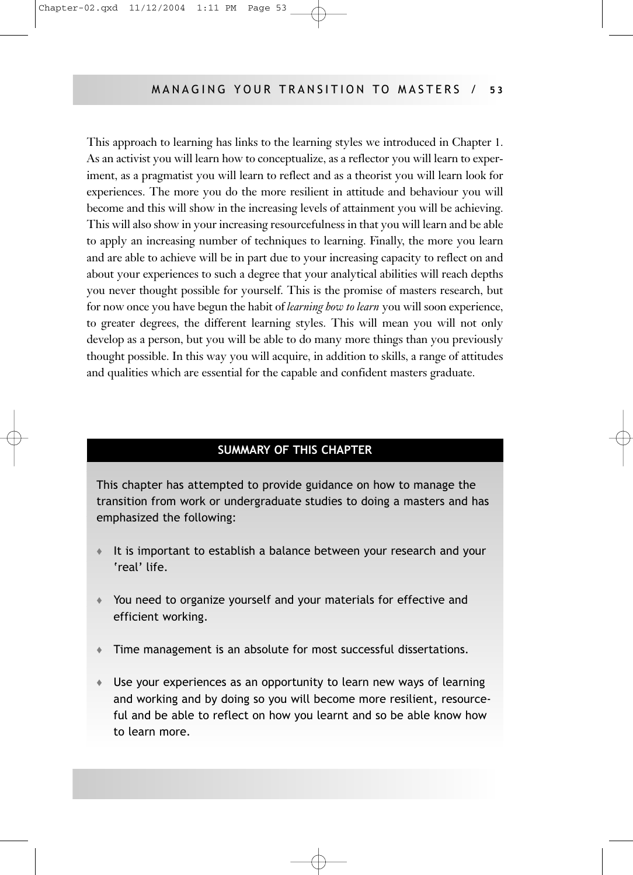#### MANAGING YOUR TRANSITION TO MASTERS / 5 3

This approach to learning has links to the learning styles we introduced in Chapter 1. As an activist you will learn how to conceptualize, as a reflector you will learn to experiment, as a pragmatist you will learn to reflect and as a theorist you will learn look for experiences. The more you do the more resilient in attitude and behaviour you will become and this will show in the increasing levels of attainment you will be achieving. This will also show in your increasing resourcefulness in that you will learn and be able to apply an increasing number of techniques to learning. Finally, the more you learn and are able to achieve will be in part due to your increasing capacity to reflect on and about your experiences to such a degree that your analytical abilities will reach depths you never thought possible for yourself. This is the promise of masters research, but for now once you have begun the habit of *learning how to learn* you will soon experience, to greater degrees, the different learning styles. This will mean you will not only develop as a person, but you will be able to do many more things than you previously thought possible. In this way you will acquire, in addition to skills, a range of attitudes and qualities which are essential for the capable and confident masters graduate.

### SUMMARY OF THIS CHAPTER

This chapter has attempted to provide guidance on how to manage the transition from work or undergraduate studies to doing a masters and has emphasized the following:

- It is important to establish a balance between your research and your 'real' life.
- ♦ You need to organize yourself and your materials for effective and efficient working.
- Time management is an absolute for most successful dissertations.
- ♦ Use your experiences as an opportunity to learn new ways of learning and working and by doing so you will become more resilient, resourceful and be able to reflect on how you learnt and so be able know how to learn more.